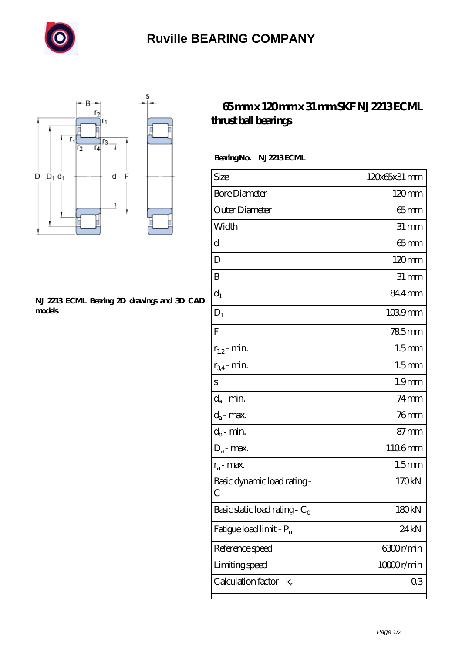

## **[Ruville BEARING COMPANY](https://sitecoachoutlet-2014.com)**



## **[NJ 2213 ECML Bearing 2D drawings and 3D CAD](https://sitecoachoutlet-2014.com/pic-435326.html) [models](https://sitecoachoutlet-2014.com/pic-435326.html)**

## **[65 mm x 120 mm x 31 mm SKF NJ 2213 ECML](https://sitecoachoutlet-2014.com/bb-435326-skf-nj-2213-ecml-thrust-ball-bearings.html) [thrust ball bearings](https://sitecoachoutlet-2014.com/bb-435326-skf-nj-2213-ecml-thrust-ball-bearings.html)**

Bearing No. NJ 2213 ECML

| Size                                       | 120x65x31 mm      |
|--------------------------------------------|-------------------|
| <b>Bore Diameter</b>                       | $120 \text{mm}$   |
| Outer Diameter                             | $65$ mm           |
| Width                                      | $31 \, \text{mm}$ |
| d                                          | $65$ mm           |
| D                                          | $120 \text{mm}$   |
| B                                          | $31 \, \text{mm}$ |
| $d_1$                                      | 84.4mm            |
| $D_1$                                      | $1039$ mm         |
| F                                          | <b>785mm</b>      |
| $r_{1,2}$ - min.                           | 1.5 <sub>mm</sub> |
| $r_{34}$ - min.                            | 1.5 <sub>mm</sub> |
| S                                          | 1.9 <sub>mm</sub> |
| $d_a$ - min.                               | $74$ mm           |
| $d_a$ - max.                               | $76$ mm           |
| $d_b$ - min.                               | $87 \text{mm}$    |
| $D_a$ - max.                               | 1106mm            |
| $r_a$ - max.                               | 1.5 <sub>mm</sub> |
| Basic dynamic load rating-<br>$\mathcal C$ | 170kN             |
| Basic static load rating - $C_0$           | 180 <sub>kN</sub> |
| Fatigue load limit - P <sub>u</sub>        | 24 <sub>kN</sub>  |
| Reference speed                            | 6300r/min         |
| Limiting speed                             | 10000r/min        |
| Calculation factor - $k_r$                 | 03                |
|                                            |                   |